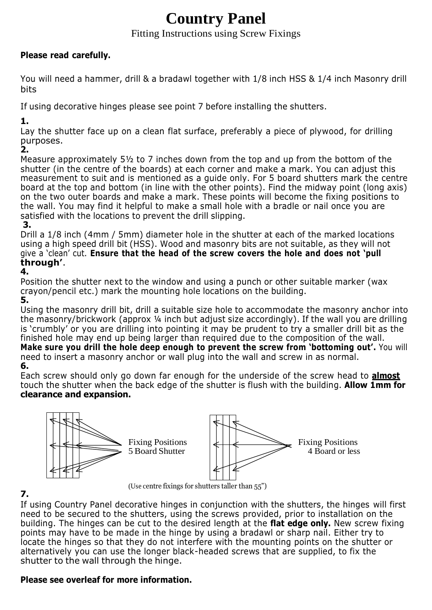# **Country Panel**

## Fitting Instructions using Screw Fixings

#### **Please read carefully.**

You will need a hammer, drill & a bradawl together with 1/8 inch HSS & 1/4 inch Masonry drill bits

If using decorative hinges please see point 7 before installing the shutters.

**1.**

Lay the shutter face up on a clean flat surface, preferably a piece of plywood, for drilling purposes.

**2.**

Measure approximately 5½ to 7 inches down from the top and up from the bottom of the shutter (in the centre of the boards) at each corner and make a mark. You can adjust this measurement to suit and is mentioned as a guide only. For 5 board shutters mark the centre board at the top and bottom (in line with the other points). Find the midway point (long axis) on the two outer boards and make a mark. These points will become the fixing positions to the wall. You may find it helpful to make a small hole with a bradle or nail once you are satisfied with the locations to prevent the drill slipping.

**3.**

Drill a 1/8 inch (4mm / 5mm) diameter hole in the shutter at each of the marked locations using a high speed drill bit (HSS). Wood and masonry bits are not suitable, as they will not give a 'clean' cut. **Ensure that the head of the screw covers the hole and does not 'pull through'**.

# **4.**

Position the shutter next to the window and using a punch or other suitable marker (wax crayon/pencil etc.) mark the mounting hole locations on the building.

**5.**

Using the masonry drill bit, drill a suitable size hole to accommodate the masonry anchor into the masonry/brickwork (approx ¼ inch but adjust size accordingly). If the wall you are drilling is 'crumbly' or you are drilling into pointing it may be prudent to try a smaller drill bit as the finished hole may end up being larger than required due to the composition of the wall. **Make sure you drill the hole deep enough to prevent the screw from 'bottoming out'.** You will need to insert a masonry anchor or wall plug into the wall and screw in as normal. **6.**

Each screw should only go down far enough for the underside of the screw head to **almost** touch the shutter when the back edge of the shutter is flush with the building. **Allow 1mm for clearance and expansion.**



**7.**

(Use centre fixings for shutters taller than 55")

If using Country Panel decorative hinges in conjunction with the shutters, the hinges will first need to be secured to the shutters, using the screws provided, prior to installation on the building. The hinges can be cut to the desired length at the **flat edge only.** New screw fixing points may have to be made in the hinge by using a bradawl or sharp nail. Either try to locate the hinges so that they do not interfere with the mounting points on the shutter or alternatively you can use the longer black-headed screws that are supplied, to fix the shutter to the wall through the hinge.

## **Please see overleaf for more information.**